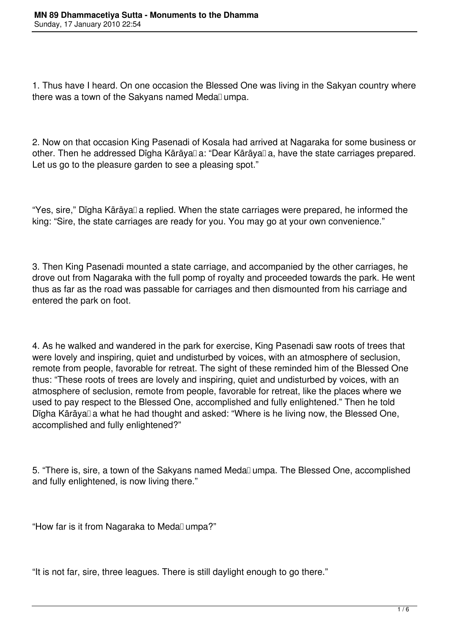1. Thus have I heard. On one occasion the Blessed One was living in the Sakyan country where there was a town of the Sakyans named Medal umpa.

2. Now on that occasion King Pasenadi of Kosala had arrived at Nagaraka for some business or other. Then he addressed Dīgha Kārāya**la: "Dear Kārāyala, have the state carriages** prepared. Let us go to the pleasure garden to see a pleasing spot."

"Yes, sire," Digha Kārāyal a replied. When the state carriages were prepared, he informed the king: "Sire, the state carriages are ready for you. You may go at your own convenience."

3. Then King Pasenadi mounted a state carriage, and accompanied by the other carriages, he drove out from Nagaraka with the full pomp of royalty and proceeded towards the park. He went thus as far as the road was passable for carriages and then dismounted from his carriage and entered the park on foot.

4. As he walked and wandered in the park for exercise, King Pasenadi saw roots of trees that were lovely and inspiring, quiet and undisturbed by voices, with an atmosphere of seclusion, remote from people, favorable for retreat. The sight of these reminded him of the Blessed One thus: "These roots of trees are lovely and inspiring, quiet and undisturbed by voices, with an atmosphere of seclusion, remote from people, favorable for retreat, like the places where we used to pay respect to the Blessed One, accomplished and fully enlightened." Then he told Digha Kārāyala what he had thought and asked: "Where is he living now, the Blessed One, accomplished and fully enlightened?"

5. "There is, sire, a town of the Sakyans named Medaḷumpa. The Blessed One, accomplished and fully enlightened, is now living there."

"How far is it from Nagaraka to Medaḷumpa?"

"It is not far, sire, three leagues. There is still daylight enough to go there."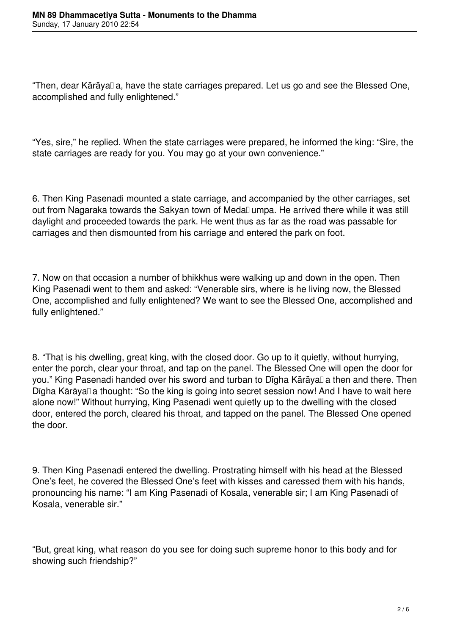"Then, dear Kārāyal a, have the state carriages prepared. Let us go and see the Blessed One, accomplished and fully enlightened."

"Yes, sire," he replied. When the state carriages were prepared, he informed the king: "Sire, the state carriages are ready for you. You may go at your own convenience."

6. Then King Pasenadi mounted a state carriage, and accompanied by the other carriages, set out from Nagaraka towards the Sakyan town of Medal umpa. He arrived there while it was still daylight and proceeded towards the park. He went thus as far as the road was passable for carriages and then dismounted from his carriage and entered the park on foot.

7. Now on that occasion a number of bhikkhus were walking up and down in the open. Then King Pasenadi went to them and asked: "Venerable sirs, where is he living now, the Blessed One, accomplished and fully enlightened? We want to see the Blessed One, accomplished and fully enlightened."

8. "That is his dwelling, great king, with the closed door. Go up to it quietly, without hurrying, enter the porch, clear your throat, and tap on the panel. The Blessed One will open the door for you." King Pasenadi handed over his sword and turban to Digha Kārāyal a then and there. Then Dīgha Kārāya**la thought: "So the king is going into secret** session now! And I have to wait here alone now!" Without hurrying, King Pasenadi went quietly up to the dwelling with the closed door, entered the porch, cleared his throat, and tapped on the panel. The Blessed One opened the door.

9. Then King Pasenadi entered the dwelling. Prostrating himself with his head at the Blessed One's feet, he covered the Blessed One's feet with kisses and caressed them with his hands, pronouncing his name: "I am King Pasenadi of Kosala, venerable sir; I am King Pasenadi of Kosala, venerable sir."

"But, great king, what reason do you see for doing such supreme honor to this body and for showing such friendship?"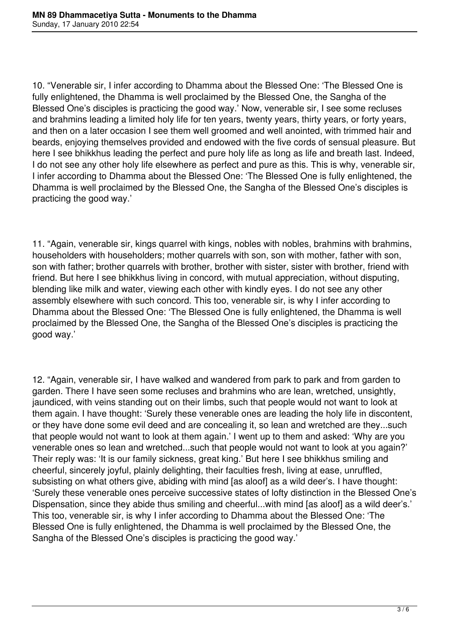10. "Venerable sir, I infer according to Dhamma about the Blessed One: 'The Blessed One is fully enlightened, the Dhamma is well proclaimed by the Blessed One, the Sangha of the Blessed One's disciples is practicing the good way.' Now, venerable sir, I see some recluses and brahmins leading a limited holy life for ten years, twenty years, thirty years, or forty years, and then on a later occasion I see them well groomed and well anointed, with trimmed hair and beards, enjoying themselves provided and endowed with the five cords of sensual pleasure. But here I see bhikkhus leading the perfect and pure holy life as long as life and breath last. Indeed, I do not see any other holy life elsewhere as perfect and pure as this. This is why, venerable sir, I infer according to Dhamma about the Blessed One: 'The Blessed One is fully enlightened, the Dhamma is well proclaimed by the Blessed One, the Sangha of the Blessed One's disciples is practicing the good way.'

11. "Again, venerable sir, kings quarrel with kings, nobles with nobles, brahmins with brahmins, householders with householders; mother quarrels with son, son with mother, father with son, son with father; brother quarrels with brother, brother with sister, sister with brother, friend with friend. But here I see bhikkhus living in concord, with mutual appreciation, without disputing, blending like milk and water, viewing each other with kindly eyes. I do not see any other assembly elsewhere with such concord. This too, venerable sir, is why I infer according to Dhamma about the Blessed One: 'The Blessed One is fully enlightened, the Dhamma is well proclaimed by the Blessed One, the Sangha of the Blessed One's disciples is practicing the good way.'

12. "Again, venerable sir, I have walked and wandered from park to park and from garden to garden. There I have seen some recluses and brahmins who are lean, wretched, unsightly, jaundiced, with veins standing out on their limbs, such that people would not want to look at them again. I have thought: 'Surely these venerable ones are leading the holy life in discontent, or they have done some evil deed and are concealing it, so lean and wretched are they...such that people would not want to look at them again.' I went up to them and asked: 'Why are you venerable ones so lean and wretched...such that people would not want to look at you again?' Their reply was: 'It is our family sickness, great king.' But here I see bhikkhus smiling and cheerful, sincerely joyful, plainly delighting, their faculties fresh, living at ease, unruffled, subsisting on what others give, abiding with mind [as aloof] as a wild deer's. I have thought: 'Surely these venerable ones perceive successive states of lofty distinction in the Blessed One's Dispensation, since they abide thus smiling and cheerful...with mind [as aloof] as a wild deer's.' This too, venerable sir, is why I infer according to Dhamma about the Blessed One: 'The Blessed One is fully enlightened, the Dhamma is well proclaimed by the Blessed One, the Sangha of the Blessed One's disciples is practicing the good way.'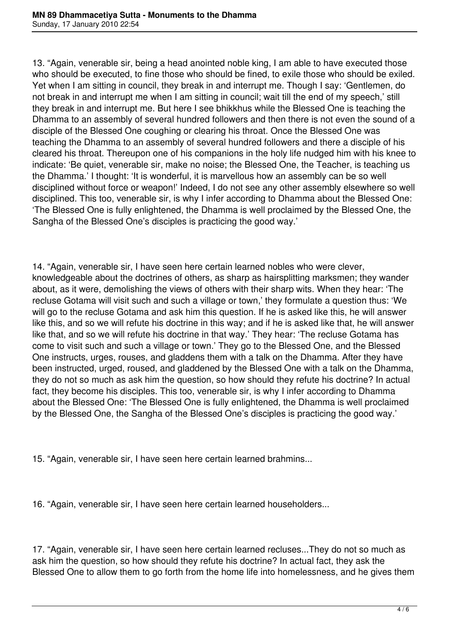13. "Again, venerable sir, being a head anointed noble king, I am able to have executed those who should be executed, to fine those who should be fined, to exile those who should be exiled. Yet when I am sitting in council, they break in and interrupt me. Though I say: 'Gentlemen, do not break in and interrupt me when I am sitting in council; wait till the end of my speech,' still they break in and interrupt me. But here I see bhikkhus while the Blessed One is teaching the Dhamma to an assembly of several hundred followers and then there is not even the sound of a disciple of the Blessed One coughing or clearing his throat. Once the Blessed One was teaching the Dhamma to an assembly of several hundred followers and there a disciple of his cleared his throat. Thereupon one of his companions in the holy life nudged him with his knee to indicate: 'Be quiet, venerable sir, make no noise; the Blessed One, the Teacher, is teaching us the Dhamma.' I thought: 'It is wonderful, it is marvellous how an assembly can be so well disciplined without force or weapon!' Indeed, I do not see any other assembly elsewhere so well disciplined. This too, venerable sir, is why I infer according to Dhamma about the Blessed One: 'The Blessed One is fully enlightened, the Dhamma is well proclaimed by the Blessed One, the Sangha of the Blessed One's disciples is practicing the good way.'

14. "Again, venerable sir, I have seen here certain learned nobles who were clever, knowledgeable about the doctrines of others, as sharp as hairsplitting marksmen; they wander about, as it were, demolishing the views of others with their sharp wits. When they hear: 'The recluse Gotama will visit such and such a village or town,' they formulate a question thus: 'We will go to the recluse Gotama and ask him this question. If he is asked like this, he will answer like this, and so we will refute his doctrine in this way; and if he is asked like that, he will answer like that, and so we will refute his doctrine in that way.' They hear: 'The recluse Gotama has come to visit such and such a village or town.' They go to the Blessed One, and the Blessed One instructs, urges, rouses, and gladdens them with a talk on the Dhamma. After they have been instructed, urged, roused, and gladdened by the Blessed One with a talk on the Dhamma, they do not so much as ask him the question, so how should they refute his doctrine? In actual fact, they become his disciples. This too, venerable sir, is why I infer according to Dhamma about the Blessed One: 'The Blessed One is fully enlightened, the Dhamma is well proclaimed by the Blessed One, the Sangha of the Blessed One's disciples is practicing the good way.'

15. "Again, venerable sir, I have seen here certain learned brahmins...

16. "Again, venerable sir, I have seen here certain learned householders...

17. "Again, venerable sir, I have seen here certain learned recluses...They do not so much as ask him the question, so how should they refute his doctrine? In actual fact, they ask the Blessed One to allow them to go forth from the home life into homelessness, and he gives them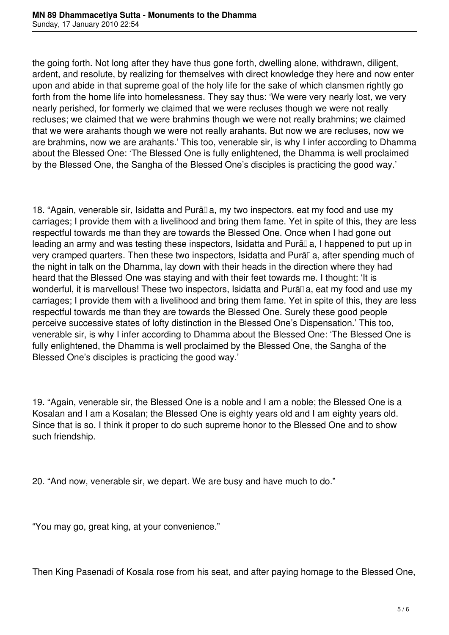the going forth. Not long after they have thus gone forth, dwelling alone, withdrawn, diligent, ardent, and resolute, by realizing for themselves with direct knowledge they here and now enter upon and abide in that supreme goal of the holy life for the sake of which clansmen rightly go forth from the home life into homelessness. They say thus: 'We were very nearly lost, we very nearly perished, for formerly we claimed that we were recluses though we were not really recluses; we claimed that we were brahmins though we were not really brahmins; we claimed that we were arahants though we were not really arahants. But now we are recluses, now we are brahmins, now we are arahants.' This too, venerable sir, is why I infer according to Dhamma about the Blessed One: 'The Blessed One is fully enlightened, the Dhamma is well proclaimed by the Blessed One, the Sangha of the Blessed One's disciples is practicing the good way.'

18. "Again, venerable sir, Isidatta and Purāl a, my two inspectors, eat my food and use my carriages; I provide them with a livelihood and bring them fame. Yet in spite of this, they are less respectful towards me than they are towards the Blessed One. Once when I had gone out leading an army and was testing these inspectors, Isidatta and Purāla, I happened to put up in very cramped quarters. Then these two inspectors, Isidatta and Purāl a, after spending much of the night in talk on the Dhamma, lay down with their heads in the direction where they had heard that the Blessed One was staying and with their feet towards me. I thought: 'It is wonderful, it is marvellous! These two inspectors, Isidatta and Pural a, eat my food and use my carriages; I provide them with a livelihood and bring them fame. Yet in spite of this, they are less respectful towards me than they are towards the Blessed One. Surely these good people perceive successive states of lofty distinction in the Blessed One's Dispensation.' This too, venerable sir, is why I infer according to Dhamma about the Blessed One: 'The Blessed One is fully enlightened, the Dhamma is well proclaimed by the Blessed One, the Sangha of the Blessed One's disciples is practicing the good way.'

19. "Again, venerable sir, the Blessed One is a noble and I am a noble; the Blessed One is a Kosalan and I am a Kosalan; the Blessed One is eighty years old and I am eighty years old. Since that is so, I think it proper to do such supreme honor to the Blessed One and to show such friendship.

20. "And now, venerable sir, we depart. We are busy and have much to do."

"You may go, great king, at your convenience."

Then King Pasenadi of Kosala rose from his seat, and after paying homage to the Blessed One,